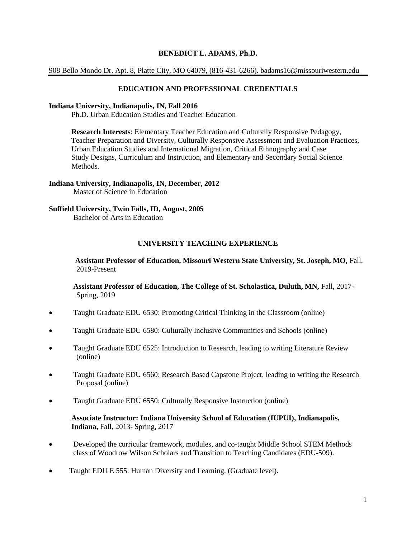## **BENEDICT L. ADAMS, Ph.D.**

908 Bello Mondo Dr. Apt. 8, Platte City, MO 64079, (816-431-6266). badams16@missouriwestern.edu

#### **EDUCATION AND PROFESSIONAL CREDENTIALS**

#### **Indiana University, Indianapolis, IN, Fall 2016**

Ph.D. Urban Education Studies and Teacher Education

 **Research Interests**: Elementary Teacher Education and Culturally Responsive Pedagogy, Teacher Preparation and Diversity, Culturally Responsive Assessment and Evaluation Practices, Urban Education Studies and International Migration, Critical Ethnography and Case Study Designs, Curriculum and Instruction, and Elementary and Secondary Social Science Methods.

#### **Indiana University, Indianapolis, IN, December, 2012** Master of Science in Education

# **Suffield University, Twin Falls, ID, August, 2005**

Bachelor of Arts in Education

## **UNIVERSITY TEACHING EXPERIENCE**

 **Assistant Professor of Education, Missouri Western State University, St. Joseph, MO,** Fall, 2019-Present

 **Assistant Professor of Education, The College of St. Scholastica, Duluth, MN,** Fall, 2017- Spring, 2019

- Taught Graduate EDU 6530: Promoting Critical Thinking in the Classroom (online)
- Taught Graduate EDU 6580: Culturally Inclusive Communities and Schools (online)
- Taught Graduate EDU 6525: Introduction to Research, leading to writing Literature Review (online)
- Taught Graduate EDU 6560: Research Based Capstone Project, leading to writing the Research Proposal (online)
- Taught Graduate EDU 6550: Culturally Responsive Instruction (online)

## **Associate Instructor: Indiana University School of Education (IUPUI), Indianapolis, Indiana,** Fall, 2013- Spring, 2017

- Developed the curricular framework, modules, and co-taught Middle School STEM Methods class of Woodrow Wilson Scholars and Transition to Teaching Candidates (EDU-509).
- Taught EDU E 555: Human Diversity and Learning. (Graduate level).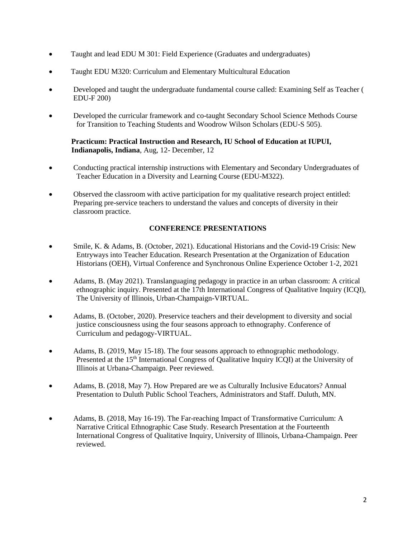- Taught and lead EDU M 301: Field Experience (Graduates and undergraduates)
- Taught EDU M320: Curriculum and Elementary Multicultural Education
- Developed and taught the undergraduate fundamental course called: Examining Self as Teacher ( EDU-F 200)
- Developed the curricular framework and co-taught Secondary School Science Methods Course for Transition to Teaching Students and Woodrow Wilson Scholars (EDU-S 505).

## **Practicum: Practical Instruction and Research, IU School of Education at IUPUI, Indianapolis, Indiana**, Aug, 12- December, 12

- Conducting practical internship instructions with Elementary and Secondary Undergraduates of Teacher Education in a Diversity and Learning Course (EDU-M322).
- Observed the classroom with active participation for my qualitative research project entitled: Preparing pre-service teachers to understand the values and concepts of diversity in their classroom practice.

# **CONFERENCE PRESENTATIONS**

- Smile, K. & Adams, B. (October, 2021). Educational Historians and the Covid-19 Crisis: New Entryways into Teacher Education. Research Presentation at the Organization of Education Historians (OEH), Virtual Conference and Synchronous Online Experience October 1-2, 2021
- Adams, B. (May 2021). Translanguaging pedagogy in practice in an urban classroom: A critical ethnographic inquiry. Presented at the 17th International Congress of Qualitative Inquiry (ICQI), The University of Illinois, Urban-Champaign-VIRTUAL.
- Adams, B. (October, 2020). Preservice teachers and their development to diversity and social justice consciousness using the four seasons approach to ethnography. Conference of Curriculum and pedagogy-VIRTUAL.
- Adams, B. (2019, May 15-18). The four seasons approach to ethnographic methodology. Presented at the 15<sup>th</sup> International Congress of Qualitative Inquiry ICQI) at the University of Illinois at Urbana-Champaign. Peer reviewed.
- Adams, B. (2018, May 7). How Prepared are we as Culturally Inclusive Educators? Annual Presentation to Duluth Public School Teachers, Administrators and Staff. Duluth, MN.
- Adams, B. (2018, May 16-19). The Far-reaching Impact of Transformative Curriculum: A Narrative Critical Ethnographic Case Study. Research Presentation at the Fourteenth International Congress of Qualitative Inquiry, University of Illinois, Urbana-Champaign. Peer reviewed.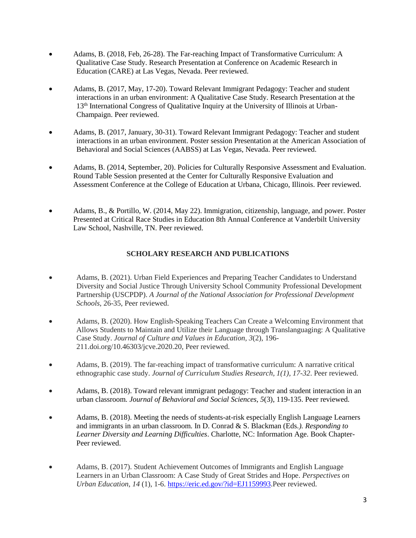- Adams, B. (2018, Feb, 26-28). The Far-reaching Impact of Transformative Curriculum: A Qualitative Case Study. Research Presentation at Conference on Academic Research in Education (CARE) at Las Vegas, Nevada. Peer reviewed.
- Adams, B. (2017, May, 17-20). Toward Relevant Immigrant Pedagogy: Teacher and student interactions in an urban environment: A Qualitative Case Study. Research Presentation at the 13th International Congress of Qualitative Inquiry at the University of Illinois at Urban-Champaign. Peer reviewed.
- Adams, B. (2017, January, 30-31). Toward Relevant Immigrant Pedagogy: Teacher and student interactions in an urban environment. Poster session Presentation at the American Association of Behavioral and Social Sciences (AABSS) at Las Vegas, Nevada. Peer reviewed.
- Adams, B. (2014, September, 20). Policies for Culturally Responsive Assessment and Evaluation. Round Table Session presented at the Center for Culturally Responsive Evaluation and Assessment Conference at the College of Education at Urbana, Chicago, Illinois. Peer reviewed.
- Adams, B., & Portillo, W. (2014, May 22). Immigration, citizenship, language, and power. Poster Presented at Critical Race Studies in Education 8th Annual Conference at Vanderbilt University Law School, Nashville, TN. Peer reviewed.

# **SCHOLARY RESEARCH AND PUBLICATIONS**

- Adams, B. (2021). Urban Field Experiences and Preparing Teacher Candidates to Understand Diversity and Social Justice Through University School Community Professional Development Partnership (USCPDP). *A Journal of the National Association for Professional Development Schools*, 26-35, Peer reviewed.
- Adams, B. (2020). How English-Speaking Teachers Can Create a Welcoming Environment that Allows Students to Maintain and Utilize their Language through Translanguaging: A Qualitative Case Study. *Journal of Culture and Values in Education, 3*(2), 196- 211.doi.org/10.46303/jcve.2020.20, Peer reviewed.
- Adams, B. (2019). The far-reaching impact of transformative curriculum: A narrative critical ethnographic case study. *Journal of Curriculum Studies Research, 1(1), 17-32*. Peer reviewed.
- Adams, B. (2018). Toward relevant immigrant pedagogy: Teacher and student interaction in an urban classroom. *Journal of Behavioral and Social Sciences, 5*(3), 119-135. Peer reviewed.
- Adams, B. (2018). Meeting the needs of students-at-risk especially English Language Learners and immigrants in an urban classroom. In D. Conrad & S. Blackman (Eds*.). Responding to Learner Diversity and Learning Difficulties*. Charlotte, NC: Information Age. Book Chapter-Peer reviewed.
- Adams, B. (2017). Student Achievement Outcomes of Immigrants and English Language Learners in an Urban Classroom: A Case Study of Great Strides and Hope. *Perspectives on Urban Education*, *14* (1), 1-6. [https://eric.ed.gov/?id=EJ1159993.](https://eric.ed.gov/?id=EJ1159993)Peer reviewed.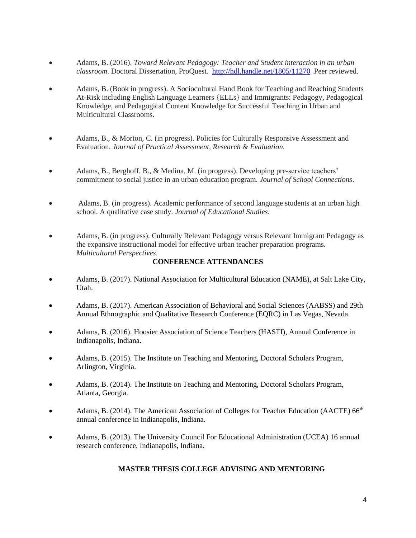- Adams, B. (2016). *Toward Relevant Pedagogy: Teacher and Student interaction in an urban classroom*. Doctoral Dissertation, ProQuest*.* <http://hdl.handle.net/1805/11270> .Peer reviewed.
- Adams, B. (Book in progress). A Sociocultural Hand Book for Teaching and Reaching Students At-Risk including English Language Learners {ELLs} and Immigrants: Pedagogy, Pedagogical Knowledge, and Pedagogical Content Knowledge for Successful Teaching in Urban and Multicultural Classrooms.
- Adams, B., & Morton, C. (in progress). Policies for Culturally Responsive Assessment and Evaluation. *Journal of Practical Assessment, Research & Evaluation.*
- Adams, B., Berghoff, B., & Medina, M. (in progress). Developing pre-service teachers' commitment to social justice in an urban education program. *Journal of School Connections*.
- Adams, B. (in progress). Academic performance of second language students at an urban high school. A qualitative case study. *Journal of Educational Studies*.
- Adams, B. (in progress). Culturally Relevant Pedagogy versus Relevant Immigrant Pedagogy as the expansive instructional model for effective urban teacher preparation programs. *Multicultural Perspectives.*

## **CONFERENCE ATTENDANCES**

- Adams, B. (2017). National Association for Multicultural Education (NAME), at Salt Lake City, Utah.
- Adams, B. (2017). American Association of Behavioral and Social Sciences (AABSS) and 29th Annual Ethnographic and Qualitative Research Conference (EQRC) in Las Vegas, Nevada.
- Adams, B. (2016). Hoosier Association of Science Teachers (HASTI), Annual Conference in Indianapolis, Indiana.
- Adams, B. (2015). The Institute on Teaching and Mentoring, Doctoral Scholars Program, Arlington, Virginia.
- Adams, B. (2014). The Institute on Teaching and Mentoring, Doctoral Scholars Program, Atlanta, Georgia.
- Adams, B. (2014). The American Association of Colleges for Teacher Education (AACTE) 66<sup>th</sup> annual conference in Indianapolis, Indiana.
- Adams, B. (2013). The University Council For Educational Administration (UCEA) 16 annual research conference, Indianapolis, Indiana.

## **MASTER THESIS COLLEGE ADVISING AND MENTORING**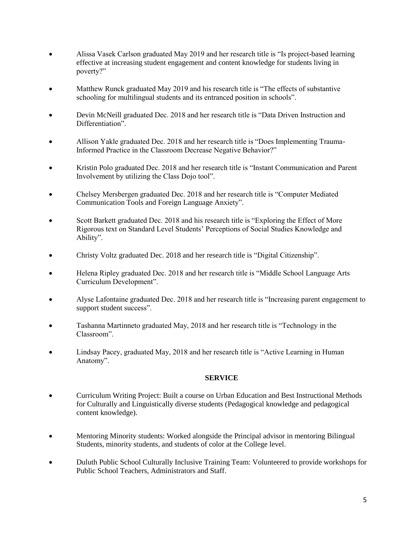- Alissa Vasek Carlson graduated May 2019 and her research title is "Is project-based learning effective at increasing student engagement and content knowledge for students living in poverty?"
- Matthew Runck graduated May 2019 and his research title is "The effects of substantive" schooling for multilingual students and its entranced position in schools".
- Devin McNeill graduated Dec. 2018 and her research title is "Data Driven Instruction and Differentiation".
- Allison Yakle graduated Dec. 2018 and her research title is "Does Implementing Trauma-Informed Practice in the Classroom Decrease Negative Behavior?"
- Kristin Polo graduated Dec. 2018 and her research title is "Instant Communication and Parent Involvement by utilizing the Class Dojo tool".
- Chelsey Mersbergen graduated Dec. 2018 and her research title is "Computer Mediated Communication Tools and Foreign Language Anxiety".
- Scott Barkett graduated Dec. 2018 and his research title is "Exploring the Effect of More Rigorous text on Standard Level Students' Perceptions of Social Studies Knowledge and Ability".
- Christy Voltz graduated Dec. 2018 and her research title is "Digital Citizenship".
- Helena Ripley graduated Dec. 2018 and her research title is "Middle School Language Arts Curriculum Development".
- Alyse Lafontaine graduated Dec. 2018 and her research title is "Increasing parent engagement to support student success".
- Tashanna Martinneto graduated May, 2018 and her research title is "Technology in the Classroom".
- Lindsay Pacey, graduated May, 2018 and her research title is "Active Learning in Human Anatomy".

## **SERVICE**

- Curriculum Writing Project: Built a course on Urban Education and Best Instructional Methods for Culturally and Linguistically diverse students (Pedagogical knowledge and pedagogical content knowledge).
- Mentoring Minority students: Worked alongside the Principal advisor in mentoring Bilingual Students, minority students, and students of color at the College level.
- Duluth Public School Culturally Inclusive Training Team: Volunteered to provide workshops for Public School Teachers, Administrators and Staff.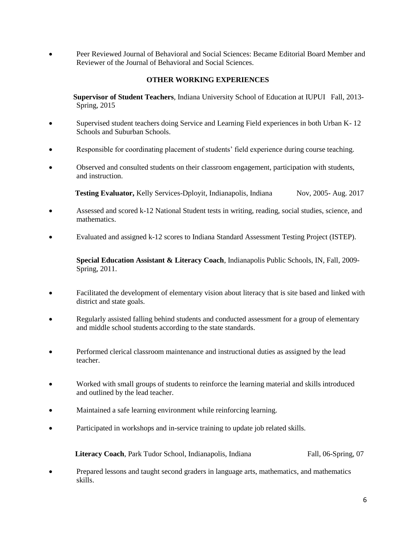• Peer Reviewed Journal of Behavioral and Social Sciences: Became Editorial Board Member and Reviewer of the Journal of Behavioral and Social Sciences.

## **OTHER WORKING EXPERIENCES**

 **Supervisor of Student Teachers**, Indiana University School of Education at IUPUI Fall, 2013- Spring, 2015

- Supervised student teachers doing Service and Learning Field experiences in both Urban K- 12 Schools and Suburban Schools.
- Responsible for coordinating placement of students' field experience during course teaching.
- Observed and consulted students on their classroom engagement, participation with students, and instruction.

**Testing Evaluator,** Kelly Services-Dployit, Indianapolis, Indiana Nov, 2005-Aug. 2017

- Assessed and scored k-12 National Student tests in writing, reading, social studies, science, and mathematics.
- Evaluated and assigned k-12 scores to Indiana Standard Assessment Testing Project (ISTEP).

**Special Education Assistant & Literacy Coach**, Indianapolis Public Schools, IN, Fall, 2009- Spring, 2011.

- Facilitated the development of elementary vision about literacy that is site based and linked with district and state goals.
- Regularly assisted falling behind students and conducted assessment for a group of elementary and middle school students according to the state standards.
- Performed clerical classroom maintenance and instructional duties as assigned by the lead teacher.
- Worked with small groups of students to reinforce the learning material and skills introduced and outlined by the lead teacher.
- Maintained a safe learning environment while reinforcing learning.
- Participated in workshops and in-service training to update job related skills.

**Literacy Coach**, Park Tudor School, Indianapolis, Indiana Fall, 06-Spring, 07

• Prepared lessons and taught second graders in language arts, mathematics, and mathematics skills.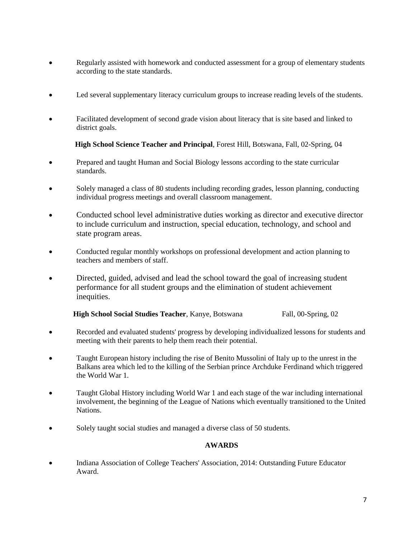- Regularly assisted with homework and conducted assessment for a group of elementary students according to the state standards.
- Led several supplementary literacy curriculum groups to increase reading levels of the students.
- Facilitated development of second grade vision about literacy that is site based and linked to district goals.

**High School Science Teacher and Principal**, Forest Hill, Botswana, Fall, 02-Spring, 04

- Prepared and taught Human and Social Biology lessons according to the state curricular standards.
- Solely managed a class of 80 students including recording grades, lesson planning, conducting individual progress meetings and overall classroom management.
- Conducted school level administrative duties working as director and executive director to include curriculum and instruction, special education, technology, and school and state program areas.
- Conducted regular monthly workshops on professional development and action planning to teachers and members of staff.
- Directed, guided, advised and lead the school toward the goal of increasing student performance for all student groups and the elimination of student achievement inequities.

**High School Social Studies Teacher**, Kanye, Botswana Fall, 00-Spring, 02

- Recorded and evaluated students' progress by developing individualized lessons for students and meeting with their parents to help them reach their potential.
- Taught European history including the rise of Benito Mussolini of Italy up to the unrest in the Balkans area which led to the killing of the Serbian prince Archduke Ferdinand which triggered the World War 1.
- Taught Global History including World War 1 and each stage of the war including international involvement, the beginning of the League of Nations which eventually transitioned to the United Nations.
- Solely taught social studies and managed a diverse class of 50 students.

## **AWARDS**

• Indiana Association of College Teachers' Association, 2014: Outstanding Future Educator Award.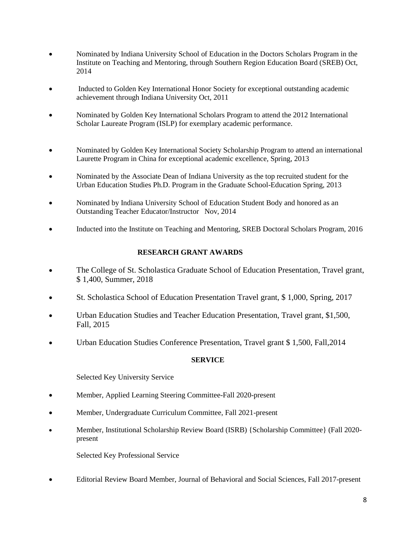- Nominated by Indiana University School of Education in the Doctors Scholars Program in the Institute on Teaching and Mentoring, through Southern Region Education Board (SREB) Oct, 2014
- Inducted to Golden Key International Honor Society for exceptional outstanding academic achievement through Indiana University Oct, 2011
- Nominated by Golden Key International Scholars Program to attend the 2012 International Scholar Laureate Program (ISLP) for exemplary academic performance.
- Nominated by Golden Key International Society Scholarship Program to attend an international Laurette Program in China for exceptional academic excellence, Spring, 2013
- Nominated by the Associate Dean of Indiana University as the top recruited student for the Urban Education Studies Ph.D. Program in the Graduate School-Education Spring, 2013
- Nominated by Indiana University School of Education Student Body and honored as an Outstanding Teacher Educator/Instructor Nov, 2014
- Inducted into the Institute on Teaching and Mentoring, SREB Doctoral Scholars Program, 2016

## **RESEARCH GRANT AWARDS**

- The College of St. Scholastica Graduate School of Education Presentation, Travel grant, \$ 1,400, Summer, 2018
- St. Scholastica School of Education Presentation Travel grant, \$ 1,000, Spring, 2017
- Urban Education Studies and Teacher Education Presentation, Travel grant, \$1,500, Fall, 2015
- Urban Education Studies Conference Presentation, Travel grant \$ 1,500, Fall,2014

## **SERVICE**

Selected Key University Service

- Member, Applied Learning Steering Committee-Fall 2020-present
- Member, Undergraduate Curriculum Committee, Fall 2021-present
- Member, Institutional Scholarship Review Board (ISRB) {Scholarship Committee} (Fall 2020 present

Selected Key Professional Service

• Editorial Review Board Member, Journal of Behavioral and Social Sciences, Fall 2017-present